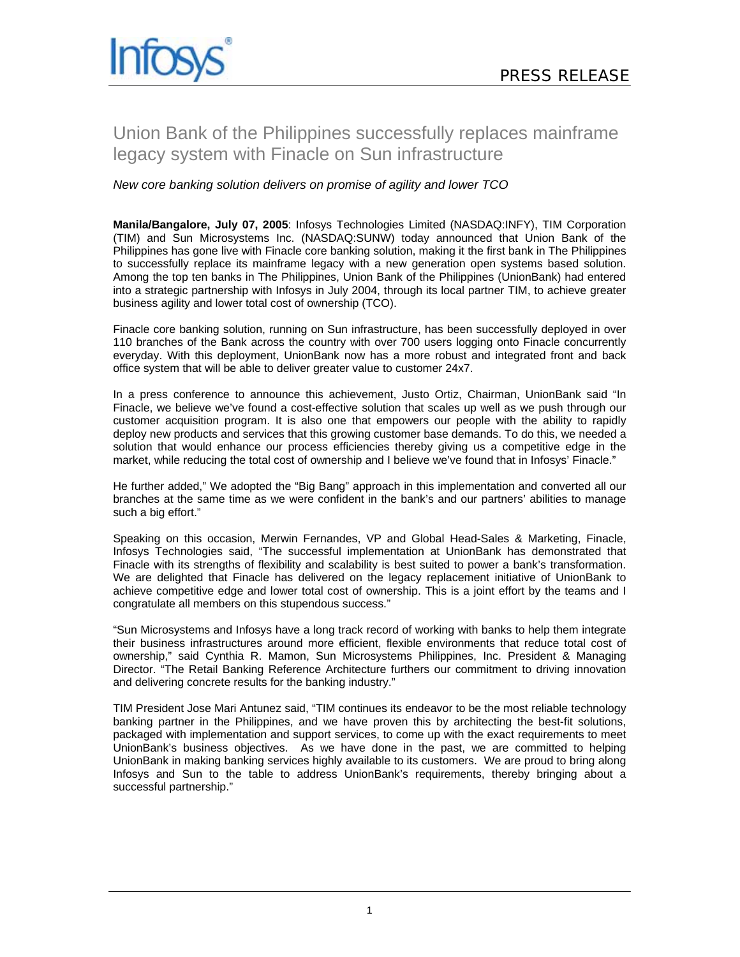# Union Bank of the Philippines successfully replaces mainframe legacy system with Finacle on Sun infrastructure

## *New core banking solution delivers on promise of agility and lower TCO*

**Manila/Bangalore, July 07, 2005**: Infosys Technologies Limited (NASDAQ:INFY), TIM Corporation (TIM) and Sun Microsystems Inc. (NASDAQ:SUNW) today announced that Union Bank of the Philippines has gone live with Finacle core banking solution, making it the first bank in The Philippines to successfully replace its mainframe legacy with a new generation open systems based solution. Among the top ten banks in The Philippines, Union Bank of the Philippines (UnionBank) had entered into a strategic partnership with Infosys in July 2004, through its local partner TIM, to achieve greater business agility and lower total cost of ownership (TCO).

Finacle core banking solution, running on Sun infrastructure, has been successfully deployed in over 110 branches of the Bank across the country with over 700 users logging onto Finacle concurrently everyday. With this deployment, UnionBank now has a more robust and integrated front and back office system that will be able to deliver greater value to customer 24x7.

In a press conference to announce this achievement, Justo Ortiz, Chairman, UnionBank said "In Finacle, we believe we've found a cost-effective solution that scales up well as we push through our customer acquisition program. It is also one that empowers our people with the ability to rapidly deploy new products and services that this growing customer base demands. To do this, we needed a solution that would enhance our process efficiencies thereby giving us a competitive edge in the market, while reducing the total cost of ownership and I believe we've found that in Infosys' Finacle."

He further added," We adopted the "Big Bang" approach in this implementation and converted all our branches at the same time as we were confident in the bank's and our partners' abilities to manage such a big effort."

Speaking on this occasion, Merwin Fernandes, VP and Global Head-Sales & Marketing, Finacle, Infosys Technologies said, "The successful implementation at UnionBank has demonstrated that Finacle with its strengths of flexibility and scalability is best suited to power a bank's transformation. We are delighted that Finacle has delivered on the legacy replacement initiative of UnionBank to achieve competitive edge and lower total cost of ownership. This is a joint effort by the teams and I congratulate all members on this stupendous success."

"Sun Microsystems and Infosys have a long track record of working with banks to help them integrate their business infrastructures around more efficient, flexible environments that reduce total cost of ownership," said Cynthia R. Mamon, Sun Microsystems Philippines, Inc. President & Managing Director. "The Retail Banking Reference Architecture furthers our commitment to driving innovation and delivering concrete results for the banking industry."

TIM President Jose Mari Antunez said, "TIM continues its endeavor to be the most reliable technology banking partner in the Philippines, and we have proven this by architecting the best-fit solutions, packaged with implementation and support services, to come up with the exact requirements to meet UnionBank's business objectives. As we have done in the past, we are committed to helping UnionBank in making banking services highly available to its customers. We are proud to bring along Infosys and Sun to the table to address UnionBank's requirements, thereby bringing about a successful partnership."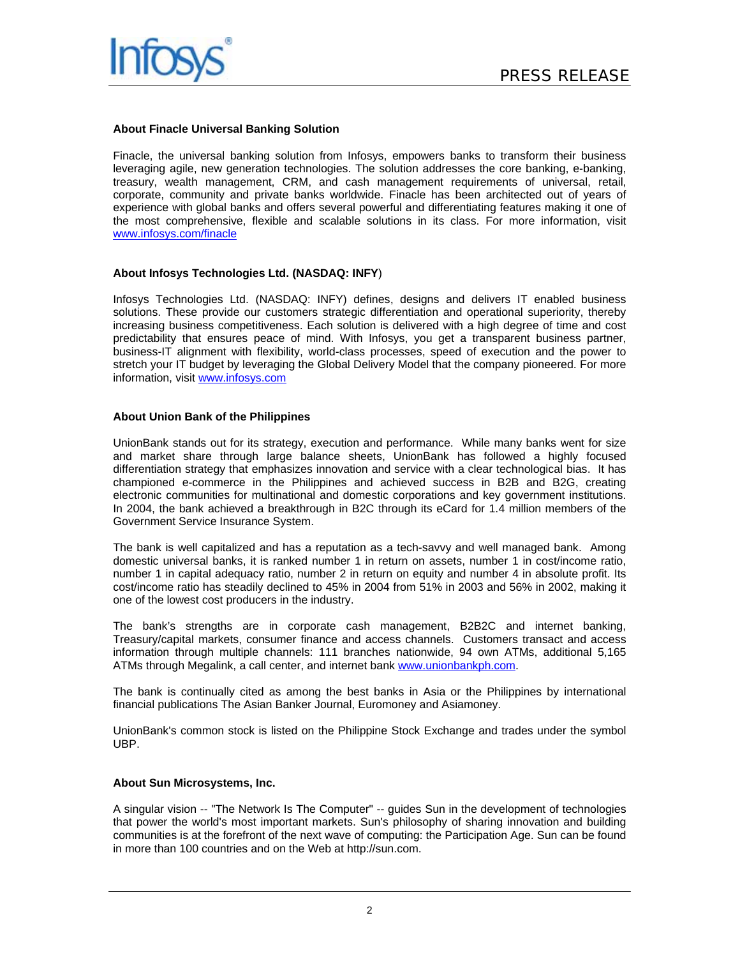

#### **About Finacle Universal Banking Solution**

Finacle, the universal banking solution from Infosys, empowers banks to transform their business leveraging agile, new generation technologies. The solution addresses the core banking, e-banking, treasury, wealth management, CRM, and cash management requirements of universal, retail, corporate, community and private banks worldwide. Finacle has been architected out of years of experience with global banks and offers several powerful and differentiating features making it one of the most comprehensive, flexible and scalable solutions in its class. For more information, visit www.infosys.com/finacle

### **About Infosys Technologies Ltd. (NASDAQ: INFY**)

Infosys Technologies Ltd. (NASDAQ: INFY) defines, designs and delivers IT enabled business solutions. These provide our customers strategic differentiation and operational superiority, thereby increasing business competitiveness. Each solution is delivered with a high degree of time and cost predictability that ensures peace of mind. With Infosys, you get a transparent business partner, business-IT alignment with flexibility, world-class processes, speed of execution and the power to stretch your IT budget by leveraging the Global Delivery Model that the company pioneered. For more information, visit www.infosys.com

#### **About Union Bank of the Philippines**

UnionBank stands out for its strategy, execution and performance. While many banks went for size and market share through large balance sheets, UnionBank has followed a highly focused differentiation strategy that emphasizes innovation and service with a clear technological bias. It has championed e-commerce in the Philippines and achieved success in B2B and B2G, creating electronic communities for multinational and domestic corporations and key government institutions. In 2004, the bank achieved a breakthrough in B2C through its eCard for 1.4 million members of the Government Service Insurance System.

The bank is well capitalized and has a reputation as a tech-savvy and well managed bank. Among domestic universal banks, it is ranked number 1 in return on assets, number 1 in cost/income ratio, number 1 in capital adequacy ratio, number 2 in return on equity and number 4 in absolute profit. Its cost/income ratio has steadily declined to 45% in 2004 from 51% in 2003 and 56% in 2002, making it one of the lowest cost producers in the industry.

The bank's strengths are in corporate cash management, B2B2C and internet banking, Treasury/capital markets, consumer finance and access channels. Customers transact and access information through multiple channels: 111 branches nationwide, 94 own ATMs, additional 5,165 ATMs through Megalink, a call center, and internet bank www.unionbankph.com.

The bank is continually cited as among the best banks in Asia or the Philippines by international financial publications The Asian Banker Journal, Euromoney and Asiamoney.

UnionBank's common stock is listed on the Philippine Stock Exchange and trades under the symbol UBP.

#### **About Sun Microsystems, Inc.**

A singular vision -- "The Network Is The Computer" -- guides Sun in the development of technologies that power the world's most important markets. Sun's philosophy of sharing innovation and building communities is at the forefront of the next wave of computing: the Participation Age. Sun can be found in more than 100 countries and on the Web at http://sun.com.